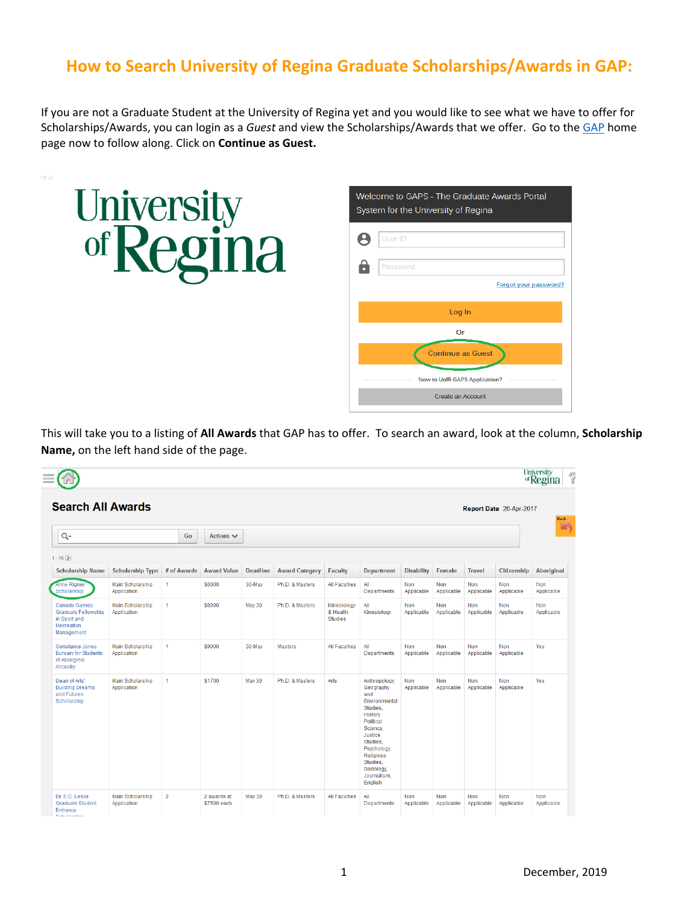## **How to Search University of Regina Graduate Scholarships/Awards in GAP:**

If you are not a Graduate Student at the University of Regina yet and you would like to see what we have to offer for Scholarships/Awards, you can login as a *Guest* and view the Scholarships/Awards that we offer. Go to the [GAP](https://banner.uregina.ca/prod_apex/f?p=127) home page now to follow along. Click on **Continue as Guest.**



This will take you to a listing of **All Awards** that GAP has to offer. To search an award, look at the column, **Scholarship Name,** on the left hand side of the page.

|                                                                                        |                                        |                |             |                            |                 |                       |                                           |                                                                                                                                                                                                            |                          |                   |                          |                   | University<br>of <b>Regina</b> |
|----------------------------------------------------------------------------------------|----------------------------------------|----------------|-------------|----------------------------|-----------------|-----------------------|-------------------------------------------|------------------------------------------------------------------------------------------------------------------------------------------------------------------------------------------------------------|--------------------------|-------------------|--------------------------|-------------------|--------------------------------|
| <b>Search All Awards</b><br>Report Date 26-Apr-2017                                    |                                        |                |             |                            |                 |                       |                                           |                                                                                                                                                                                                            |                          |                   |                          | <b>Back</b>       |                                |
| Q-                                                                                     |                                        |                | Go          | Actions $\vee$             |                 |                       |                                           |                                                                                                                                                                                                            |                          |                   |                          |                   | $\Box$                         |
| $1 - 15(5)$                                                                            |                                        |                |             |                            |                 |                       |                                           |                                                                                                                                                                                                            |                          |                   |                          |                   |                                |
| <b>Scholarship Name</b>                                                                | <b>Scholarship Type</b>                |                | # of Awards | <b>Award Value</b>         | <b>Deadline</b> | <b>Award Category</b> | <b>Faculty</b>                            | <b>Department</b>                                                                                                                                                                                          | <b>Disability</b>        | Female            | <b>Travel</b>            | Citizenship       | Aboriginal                     |
| Anne Rigney<br>Scholarship                                                             | <b>Main Scholarship</b><br>Application | $\mathbf{1}$   |             | \$6000                     | 30-May          | Ph.D. & Masters       | All Faculties                             | All<br>Departments                                                                                                                                                                                         | <b>Non</b><br>Applicable | Non<br>Applicable | Non<br>Applicable        | Non<br>Applicable | Non<br>Applicable              |
| Canada Games<br><b>Graduate Fellowship</b><br>in Sport and<br>Recreation<br>Management | <b>Main Scholarship</b><br>Application | $\mathbf{1}$   |             | \$8000                     | May 30          | Ph.D. & Masters       | Kinesiology<br>& Health<br><b>Studies</b> | All<br>Kinesiology                                                                                                                                                                                         | Non<br>Applicable        | Non<br>Applicable | Non<br>Applicable        | Non<br>Applicable | Non<br>Applicable              |
| Constance Jones<br><b>Bursary for Students</b><br>of Aboriginal<br>Ancestry            | <b>Main Scholarship</b><br>Application | 1              |             | \$9000                     | 30-May          | <b>Masters</b>        | All Faculties                             | All<br>Departments                                                                                                                                                                                         | <b>Non</b><br>Applicable | Non<br>Applicable | Non<br>Applicable        | Non<br>Applicable | Yes                            |
| Dean of Arts'<br><b>Building Dreams</b><br>and Futures<br>Scholarship                  | <b>Main Scholarship</b><br>Application | $\mathbf{1}$   |             | <b>\$1700</b>              | May 30          | Ph.D. & Masters       | Arts                                      | Anthropology,<br>Geography<br>and<br>Environmental<br>Studies,<br>History.<br>Political<br>Science.<br>Justice<br>Studies,<br>Psychology,<br>Religious<br>Studies.<br>Sociology.<br>Journalism,<br>English | Non<br>Applicable        | Non<br>Applicable | <b>Non</b><br>Applicable | Non<br>Applicable | Yes                            |
| Dr. E.C. Leslie<br><b>Graduate Student</b><br>Entrance                                 | <b>Main Scholarship</b><br>Application | $\overline{2}$ |             | 2 awards at<br>\$7500 each | <b>May 30</b>   | Ph.D. & Masters       | All Faculties                             | All<br><b>Departments</b>                                                                                                                                                                                  | Non<br>Applicable        | Non<br>Applicable | <b>Non</b><br>Applicable | Non<br>Applicable | Non<br>Applicable              |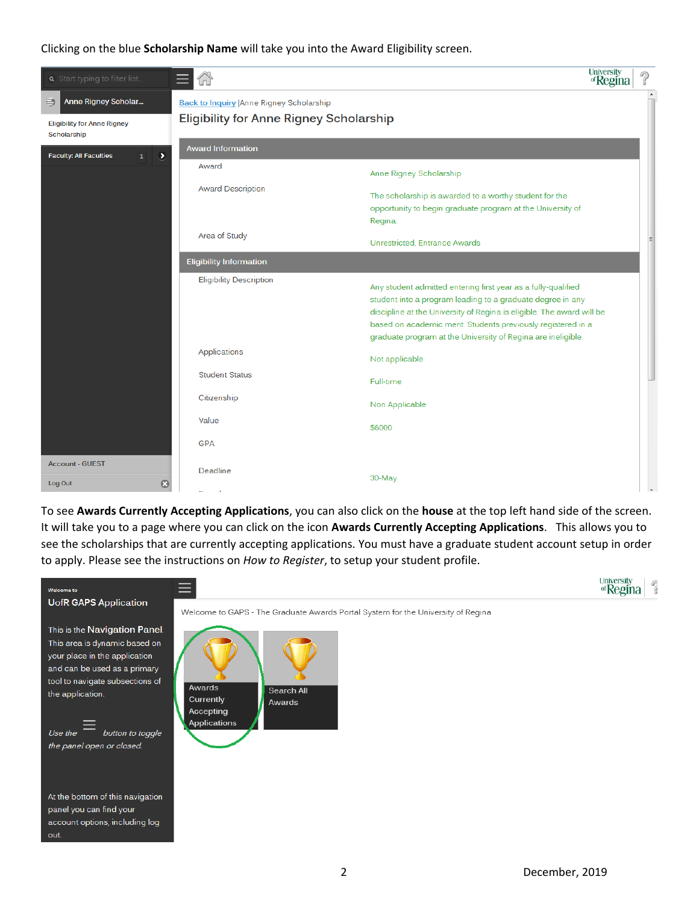Clicking on the blue **Scholarship Name** will take you into the Award Eligibility screen.



To see **Awards Currently Accepting Applications**, you can also click on the **house** at the top left hand side of the screen. It will take you to a page where you can click on the icon **Awards Currently Accepting Applications**.This allows you to see the scholarships that are currently accepting applications. You must have a graduate student account setup in order to apply. Please see the instructions on *How to Register*, to setup your student profile.